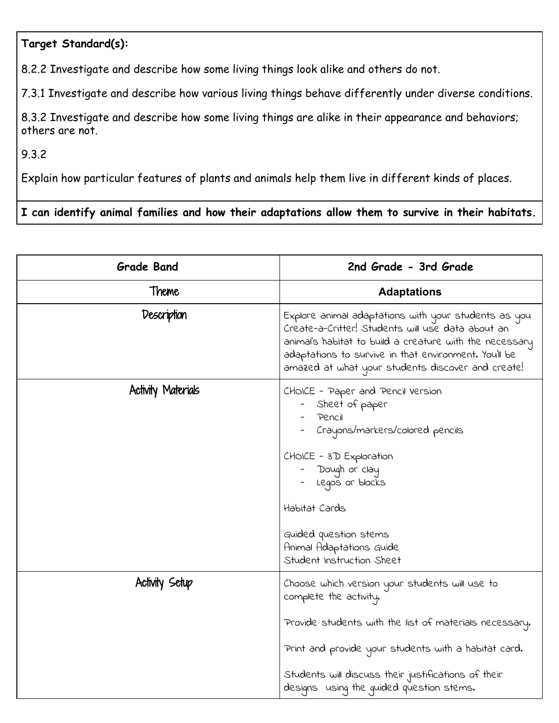## **Target Standard(s):**

8.2.2 Investigate and describe how some living things look alike and others do not.

7.3.1 Investigate and describe how various living things behave differently under diverse conditions.

8.3.2 Investigate and describe how some living things are alike in their appearance and behaviors; others are not.

9.3.2

Explain how particular features of plants and animals help them live in different kinds of places.

## **I can identify animal families and how their adaptations allow them to survive in their habitats.**

| <b>Grade Band</b>  | 2nd Grade - 3rd Grade                                                                                                                                                                                                                                                                         |
|--------------------|-----------------------------------------------------------------------------------------------------------------------------------------------------------------------------------------------------------------------------------------------------------------------------------------------|
| Theme              | <b>Adaptations</b>                                                                                                                                                                                                                                                                            |
| Description        | Explore animal adaptations with your students as you<br>Create-a-Critter! Students will use data about an<br>animal's habitat to build a creature with the necessary<br>adaptations to survive in that environment. You'll be<br>amazed at what your students discover and create!            |
| Activity Materials | CHOICE - Paper and Pencil Version<br>Sheet of paper<br>Pencil<br>Crayons/markers/colored pencils<br>CHOICE - 3D Exploration<br>Dough or clay<br>- Legos or blocks<br>Habitat Cards<br>Guided question stems<br>Animal Adaptations Guide<br>Student Instruction Sheet                          |
| Activity Setup     | Choose which version your students will use to<br>complete the activity.<br>Provide students with the list of materials necessary.<br>Print and provide your students with a habitat card.<br>Students will discuss their justifications of their<br>designs using the guided question stems. |